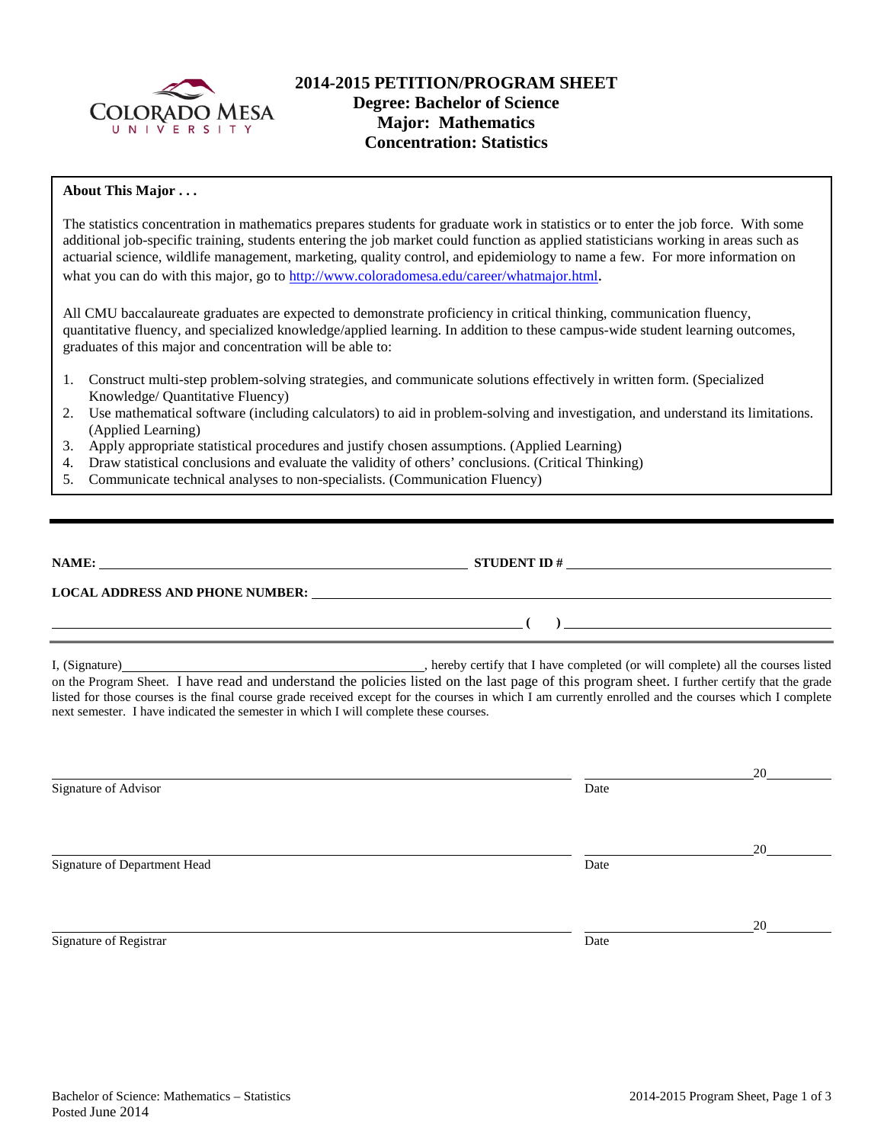

# **2014-2015 PETITION/PROGRAM SHEET Degree: Bachelor of Science Major: Mathematics Concentration: Statistics**

### **About This Major . . .**

The statistics concentration in mathematics prepares students for graduate work in statistics or to enter the job force. With some additional job-specific training, students entering the job market could function as applied statisticians working in areas such as actuarial science, wildlife management, marketing, quality control, and epidemiology to name a few. For more information on what you can do with this major, go to [http://www.coloradomesa.edu/career/whatmajor.html.](http://www.coloradomesa.edu/career/whatmajor.html)

All CMU baccalaureate graduates are expected to demonstrate proficiency in critical thinking, communication fluency, quantitative fluency, and specialized knowledge/applied learning. In addition to these campus-wide student learning outcomes, graduates of this major and concentration will be able to:

- 1. Construct multi-step problem-solving strategies, and communicate solutions effectively in written form. (Specialized Knowledge/ Quantitative Fluency)
- 2. Use mathematical software (including calculators) to aid in problem-solving and investigation, and understand its limitations. (Applied Learning)
- 3. Apply appropriate statistical procedures and justify chosen assumptions. (Applied Learning)
- 4. Draw statistical conclusions and evaluate the validity of others' conclusions. (Critical Thinking)
- 5. Communicate technical analyses to non-specialists. (Communication Fluency)

| NAME:                                  | <b>STUDENT ID#</b> |
|----------------------------------------|--------------------|
| <b>LOCAL ADDRESS AND PHONE NUMBER:</b> |                    |
|                                        |                    |

I, (Signature) , hereby certify that I have completed (or will complete) all the courses listed on the Program Sheet. I have read and understand the policies listed on the last page of this program sheet. I further certify that the grade listed for those courses is the final course grade received except for the courses in which I am currently enrolled and the courses which I complete next semester. I have indicated the semester in which I will complete these courses.

|                              |      | 20 |
|------------------------------|------|----|
| Signature of Advisor         | Date |    |
|                              |      |    |
|                              |      |    |
|                              |      | 20 |
| Signature of Department Head | Date |    |
|                              |      |    |
|                              |      |    |
|                              |      | 20 |
| Signature of Registrar       | Date |    |
|                              |      |    |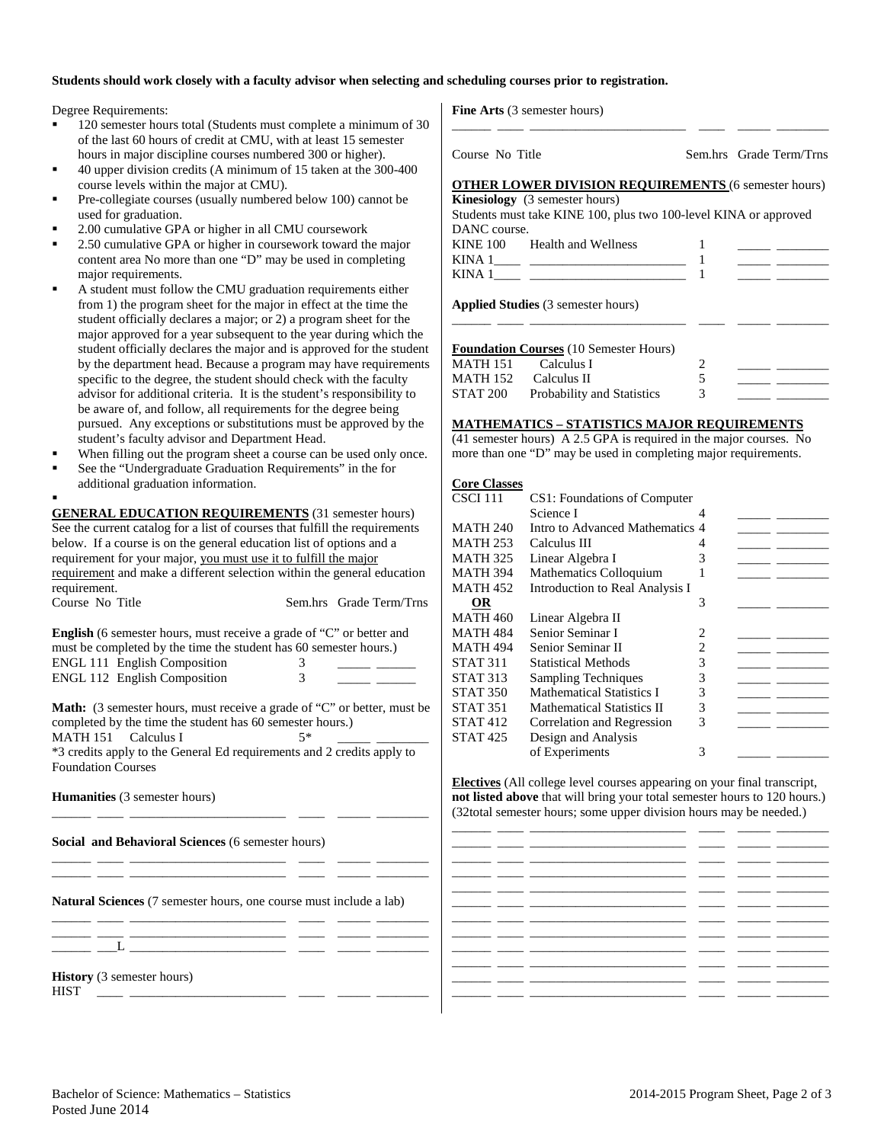#### **Students should work closely with a faculty advisor when selecting and scheduling courses prior to registration.**

Degree Requirements:

- 120 semester hours total (Students must complete a minimum of 30 of the last 60 hours of credit at CMU, with at least 15 semester hours in major discipline courses numbered 300 or higher).
- 40 upper division credits (A minimum of 15 taken at the  $300-40$ course levels within the major at CMU).
- Pre-collegiate courses (usually numbered below 100) cannot b used for graduation.
- 2.00 cumulative GPA or higher in all CMU coursework
- 2.50 cumulative GPA or higher in coursework toward the major content area No more than one "D" may be used in completing major requirements.
- A student must follow the CMU graduation requirements either from 1) the program sheet for the major in effect at the time the student officially declares a major; or 2) a program sheet for the major approved for a year subsequent to the year during which student officially declares the major and is approved for the student by the department head. Because a program may have requirer specific to the degree, the student should check with the facult advisor for additional criteria. It is the student's responsibility be aware of, and follow, all requirements for the degree being pursued. Any exceptions or substitutions must be approved by student's faculty advisor and Department Head.
- When filling out the program sheet a course can be used only
- See the "Undergraduate Graduation Requirements" in the for additional graduation information.

. **GENERAL EDUCATION REQUIREMENTS** (31 semester hours) See the current catalog for a list of courses that fulfill the requirements below. If a course is on the general education list of options and a requirement for your major, you must use it to fulfill the major requirement and make a different selection within the general education requirement.<br>Course No. T

| Course No Title                                                                                                                                                                                                                                                                                                                                                                    | Sem.hrs Grade Term/Trns |
|------------------------------------------------------------------------------------------------------------------------------------------------------------------------------------------------------------------------------------------------------------------------------------------------------------------------------------------------------------------------------------|-------------------------|
| <b>English</b> (6 semester hours, must receive a grade of "C" or better and<br>must be completed by the time the student has 60 semester hours.)                                                                                                                                                                                                                                   |                         |
| <b>ENGL 111 English Composition</b>                                                                                                                                                                                                                                                                                                                                                |                         |
| <b>ENGL 112 English Composition</b>                                                                                                                                                                                                                                                                                                                                                |                         |
| <b>Math:</b> (3 semester hours, must receive a grade of "C" or better, must be<br>$\mathbf{1}$ and $\mathbf{1}$ and $\mathbf{1}$ and $\mathbf{1}$ and $\mathbf{1}$ and $\mathbf{1}$ and $\mathbf{1}$ and $\mathbf{1}$ and $\mathbf{1}$ and $\mathbf{1}$ and $\mathbf{1}$ and $\mathbf{1}$ and $\mathbf{1}$ and $\mathbf{1}$ and $\mathbf{1}$ and $\mathbf{1}$ and $\mathbf{1}$ and |                         |

completed by the time the student has 60 semester hours.) MATH 151 Calculus I  $5^*$ \*3 credits apply to the General Ed requirements and 2 credits apply to Foundation Courses

\_\_\_\_\_\_ \_\_\_\_ \_\_\_\_\_\_\_\_\_\_\_\_\_\_\_\_\_\_\_\_\_\_\_\_ \_\_\_\_ \_\_\_\_\_ \_\_\_\_\_\_\_\_

**Humanities** (3 semester hours)

**Social and Behavioral Sciences** (6 semester hours)

**Natural Sciences** (7 semester hours, one course must include a lab)

\_\_\_\_\_\_ \_\_\_\_ \_\_\_\_\_\_\_\_\_\_\_\_\_\_\_\_\_\_\_\_\_\_\_\_ \_\_\_\_ \_\_\_\_\_ \_\_\_\_\_\_\_\_ \_\_\_\_\_\_ \_\_\_\_ \_\_\_\_\_\_\_\_\_\_\_\_\_\_\_\_\_\_\_\_\_\_\_\_ \_\_\_\_ \_\_\_\_\_ \_\_\_\_\_\_\_\_

**History** (3 semester hours)  $HIST \tightharpoonup$ 

**Fine Arts** (3 semester hours)

|       | Course No Title |                                                                      |   | Sem.hrs Grade Term/Trns                                                                                              |  |
|-------|-----------------|----------------------------------------------------------------------|---|----------------------------------------------------------------------------------------------------------------------|--|
| 400   |                 |                                                                      |   |                                                                                                                      |  |
|       |                 | <b>OTHER LOWER DIVISION REQUIREMENTS (6 semester hours)</b>          |   |                                                                                                                      |  |
| e     |                 | <b>Kinesiology</b> (3 semester hours)                                |   |                                                                                                                      |  |
|       |                 | Students must take KINE 100, plus two 100-level KINA or approved     |   |                                                                                                                      |  |
|       | DANC course.    |                                                                      |   |                                                                                                                      |  |
| or    |                 | KINE 100 Health and Wellness                                         |   | <u> 2000 - Antonio Alemania (h. 1878).</u>                                                                           |  |
| g     |                 |                                                                      |   |                                                                                                                      |  |
|       |                 |                                                                      |   |                                                                                                                      |  |
| эr    |                 |                                                                      |   |                                                                                                                      |  |
| e     |                 | <b>Applied Studies</b> (3 semester hours)                            |   |                                                                                                                      |  |
| 1e    |                 |                                                                      |   |                                                                                                                      |  |
| ı the |                 |                                                                      |   |                                                                                                                      |  |
| udent |                 | <b>Foundation Courses (10 Semester Hours)</b>                        |   |                                                                                                                      |  |
| ments |                 | MATH 151 Calculus I                                                  | 2 | <u> Alexandro Alexandro III e a continua de la continua de la continua de la continua de la continua de la conti</u> |  |
| y.    |                 | MATH 152 Calculus II                                                 | 5 | <u> Albanya a Manazarta da</u>                                                                                       |  |
| ≀ to  | STAT 200        | Probability and Statistics                                           | 3 |                                                                                                                      |  |
|       |                 |                                                                      |   |                                                                                                                      |  |
| y the |                 | <b>MATHEMATICS – STATISTICS MAJOR REQUIREMENTS</b>                   |   |                                                                                                                      |  |
|       |                 | $(41$ semester hours) A 2.5 GPA is required in the major courses. No |   |                                                                                                                      |  |
| once. |                 | more than one "D" may be used in completing major requirements.      |   |                                                                                                                      |  |

\_\_\_\_\_\_ \_\_\_\_ \_\_\_\_\_\_\_\_\_\_\_\_\_\_\_\_\_\_\_\_\_\_\_\_ \_\_\_\_ \_\_\_\_\_ \_\_\_\_\_\_\_\_

#### **Core Classes**

| CSCI 111 | CS1: Foundations of Computer      |                |  |
|----------|-----------------------------------|----------------|--|
|          | Science I                         | 4              |  |
| MATH 240 | Intro to Advanced Mathematics 4   |                |  |
| MATH 253 | Calculus III                      | 4              |  |
| MATH 325 | Linear Algebra I                  | 3              |  |
| MATH 394 | Mathematics Colloquium            |                |  |
| MATH 452 | Introduction to Real Analysis I   |                |  |
| 0R       |                                   | 3              |  |
| MATH 460 | Linear Algebra II                 |                |  |
| MATH 484 | Senior Seminar I                  | 2              |  |
| MATH 494 | Senior Seminar II                 | $\overline{c}$ |  |
| STAT 311 | <b>Statistical Methods</b>        | 3              |  |
| STAT 313 | <b>Sampling Techniques</b>        | 3              |  |
| STAT 350 | <b>Mathematical Statistics I</b>  | 3              |  |
| STAT 351 | <b>Mathematical Statistics II</b> | 3              |  |
| STAT 412 | Correlation and Regression        | 3              |  |
| STAT 425 | Design and Analysis               |                |  |
|          | of Experiments                    | 3              |  |
|          |                                   |                |  |

**Electives** (All college level courses appearing on your final transcript, **not listed above** that will bring your total semester hours to 120 hours.) (32total semester hours; some upper division hours may be needed.)